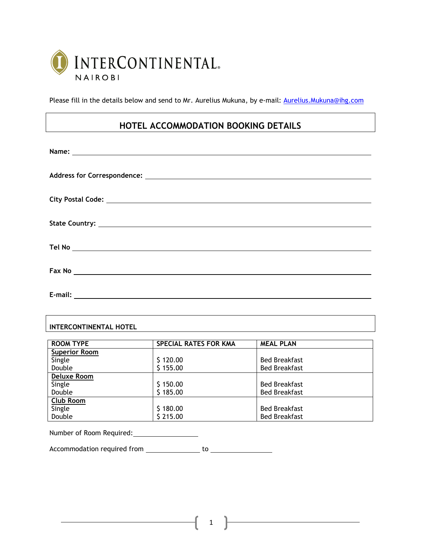

Please fill in the details below and send to Mr. Aurelius Mukuna, by e-mail: Aurelius. Mukuna@ihg.com

# **HOTEL ACCOMMODATION BOOKING DETAILS**

| Fax No 2008 2009 2010 2021 2022 2023 2024 2022 2023 2024 2022 2023 2024 2022 2023 2024 2022 2023 2024 2022 20 |
|---------------------------------------------------------------------------------------------------------------|
| E-mail:                                                                                                       |

# **INTERCONTINENTAL HOTEL**

| <b>ROOM TYPE</b>     | <b>SPECIAL RATES FOR KMA</b> | <b>MEAL PLAN</b>     |
|----------------------|------------------------------|----------------------|
| <b>Superior Room</b> |                              |                      |
| Single               | \$120.00                     | <b>Bed Breakfast</b> |
| Double               | \$155.00                     | <b>Bed Breakfast</b> |
| Deluxe Room          |                              |                      |
| Single               | \$150.00                     | <b>Bed Breakfast</b> |
| Double               | \$185.00                     | <b>Bed Breakfast</b> |
| Club Room            |                              |                      |
| Single               | \$180.00                     | <b>Bed Breakfast</b> |
| Double               | \$215.00                     | <b>Bed Breakfast</b> |

Number of Room Required:

Accommodation required from to

1

the control of the control of the control of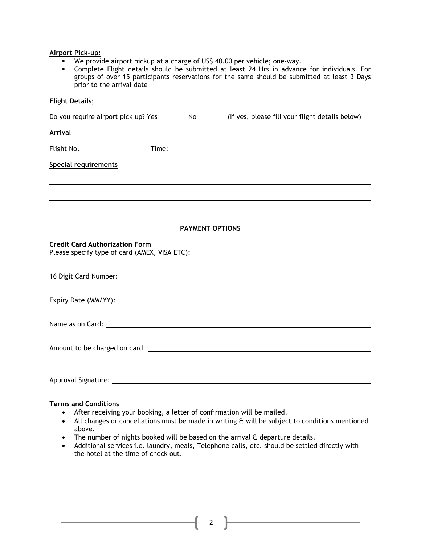#### **Airport Pick-up:**

- We provide airport pickup at a charge of US\$ 40.00 per vehicle; one-way.
- Complete Flight details should be submitted at least 24 Hrs in advance for individuals. For groups of over 15 participants reservations for the same should be submitted at least 3 Days prior to the arrival date

# **Flight Details;**

Do you require airport pick up? Yes \_\_\_\_\_\_\_ No \_\_\_\_\_\_\_ (If yes, please fill your flight details below)

#### **Arrival**

Flight No. Time:

### **Special requirements**

## **PAYMENT OPTIONS**

| <b>Credit Card Authorization Form</b><br>Please specify type of card (AMEX, VISA ETC): ___________________________________ |
|----------------------------------------------------------------------------------------------------------------------------|
|                                                                                                                            |
|                                                                                                                            |
|                                                                                                                            |
|                                                                                                                            |
|                                                                                                                            |
|                                                                                                                            |
|                                                                                                                            |

## **Terms and Conditions**

After receiving your booking, a letter of confirmation will be mailed.

Approval Signature:

- All changes or cancellations must be made in writing & will be subject to conditions mentioned above.
- The number of nights booked will be based on the arrival & departure details.
- Additional services i.e. laundry, meals, Telephone calls, etc. should be settled directly with the hotel at the time of check out.

2